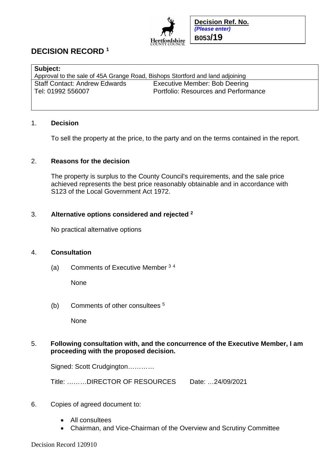

**Decision Ref. No.**  *(Please enter)*  **B053/19**

# **DECISION RECORD <sup>1</sup>**

| <b>Subject:</b>                                                               |                                             |
|-------------------------------------------------------------------------------|---------------------------------------------|
| Approval to the sale of 45A Grange Road, Bishops Stortford and land adjoining |                                             |
| <b>Staff Contact: Andrew Edwards</b>                                          | Executive Member: Bob Deering               |
| Tel: 01992 556007                                                             | <b>Portfolio: Resources and Performance</b> |
|                                                                               |                                             |

#### 1. **Decision**

To sell the property at the price, to the party and on the terms contained in the report.

### 2. **Reasons for the decision**

The property is surplus to the County Council's requirements, and the sale price achieved represents the best price reasonably obtainable and in accordance with S123 of the Local Government Act 1972.

#### 3. **Alternative options considered and rejected <sup>2</sup>**

No practical alternative options

## 4. **Consultation**

(a) Comments of Executive Member <sup>3</sup> <sup>4</sup>

None

(b) Comments of other consultees <sup>5</sup>

None

## 5. **Following consultation with, and the concurrence of the Executive Member, I am proceeding with the proposed decision.**

Signed: Scott Crudgington…………

Title: ………DIRECTOR OF RESOURCES Date: …24/09/2021

## 6. Copies of agreed document to:

- All consultees
- Chairman, and Vice-Chairman of the Overview and Scrutiny Committee